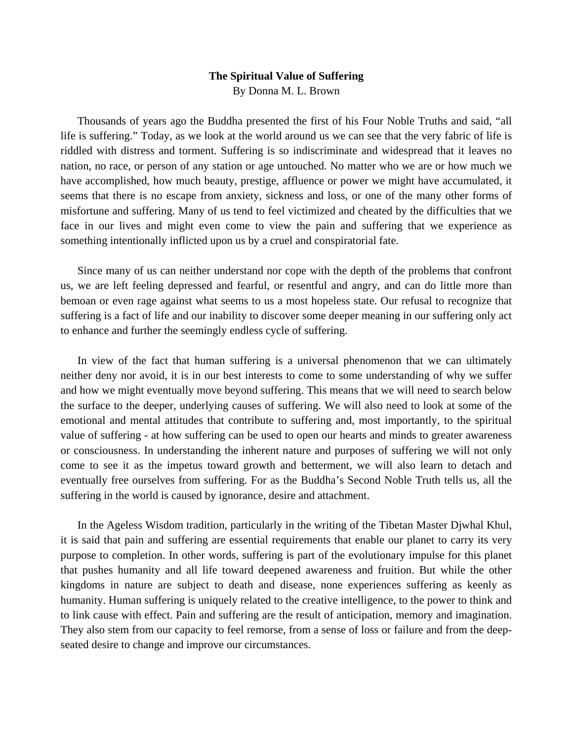## **The Spiritual Value of Suffering**  By Donna M. L. Brown

 Thousands of years ago the Buddha presented the first of his Four Noble Truths and said, "all life is suffering." Today, as we look at the world around us we can see that the very fabric of life is riddled with distress and torment. Suffering is so indiscriminate and widespread that it leaves no nation, no race, or person of any station or age untouched. No matter who we are or how much we have accomplished, how much beauty, prestige, affluence or power we might have accumulated, it seems that there is no escape from anxiety, sickness and loss, or one of the many other forms of misfortune and suffering. Many of us tend to feel victimized and cheated by the difficulties that we face in our lives and might even come to view the pain and suffering that we experience as something intentionally inflicted upon us by a cruel and conspiratorial fate.

 Since many of us can neither understand nor cope with the depth of the problems that confront us, we are left feeling depressed and fearful, or resentful and angry, and can do little more than bemoan or even rage against what seems to us a most hopeless state. Our refusal to recognize that suffering is a fact of life and our inability to discover some deeper meaning in our suffering only act to enhance and further the seemingly endless cycle of suffering.

 In view of the fact that human suffering is a universal phenomenon that we can ultimately neither deny nor avoid, it is in our best interests to come to some understanding of why we suffer and how we might eventually move beyond suffering. This means that we will need to search below the surface to the deeper, underlying causes of suffering. We will also need to look at some of the emotional and mental attitudes that contribute to suffering and, most importantly, to the spiritual value of suffering - at how suffering can be used to open our hearts and minds to greater awareness or consciousness. In understanding the inherent nature and purposes of suffering we will not only come to see it as the impetus toward growth and betterment, we will also learn to detach and eventually free ourselves from suffering. For as the Buddha's Second Noble Truth tells us, all the suffering in the world is caused by ignorance, desire and attachment.

 In the Ageless Wisdom tradition, particularly in the writing of the Tibetan Master Djwhal Khul, it is said that pain and suffering are essential requirements that enable our planet to carry its very purpose to completion. In other words, suffering is part of the evolutionary impulse for this planet that pushes humanity and all life toward deepened awareness and fruition. But while the other kingdoms in nature are subject to death and disease, none experiences suffering as keenly as humanity. Human suffering is uniquely related to the creative intelligence, to the power to think and to link cause with effect. Pain and suffering are the result of anticipation, memory and imagination. They also stem from our capacity to feel remorse, from a sense of loss or failure and from the deepseated desire to change and improve our circumstances.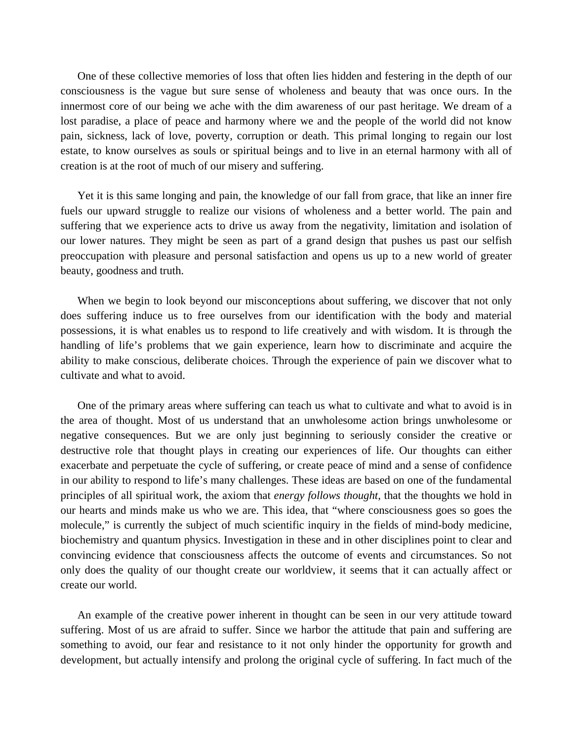One of these collective memories of loss that often lies hidden and festering in the depth of our consciousness is the vague but sure sense of wholeness and beauty that was once ours. In the innermost core of our being we ache with the dim awareness of our past heritage. We dream of a lost paradise, a place of peace and harmony where we and the people of the world did not know pain, sickness, lack of love, poverty, corruption or death. This primal longing to regain our lost estate, to know ourselves as souls or spiritual beings and to live in an eternal harmony with all of creation is at the root of much of our misery and suffering.

 Yet it is this same longing and pain, the knowledge of our fall from grace, that like an inner fire fuels our upward struggle to realize our visions of wholeness and a better world. The pain and suffering that we experience acts to drive us away from the negativity, limitation and isolation of our lower natures. They might be seen as part of a grand design that pushes us past our selfish preoccupation with pleasure and personal satisfaction and opens us up to a new world of greater beauty, goodness and truth.

When we begin to look beyond our misconceptions about suffering, we discover that not only does suffering induce us to free ourselves from our identification with the body and material possessions, it is what enables us to respond to life creatively and with wisdom. It is through the handling of life's problems that we gain experience, learn how to discriminate and acquire the ability to make conscious, deliberate choices. Through the experience of pain we discover what to cultivate and what to avoid.

 One of the primary areas where suffering can teach us what to cultivate and what to avoid is in the area of thought. Most of us understand that an unwholesome action brings unwholesome or negative consequences. But we are only just beginning to seriously consider the creative or destructive role that thought plays in creating our experiences of life. Our thoughts can either exacerbate and perpetuate the cycle of suffering, or create peace of mind and a sense of confidence in our ability to respond to life's many challenges. These ideas are based on one of the fundamental principles of all spiritual work, the axiom that *energy follows thought*, that the thoughts we hold in our hearts and minds make us who we are. This idea, that "where consciousness goes so goes the molecule," is currently the subject of much scientific inquiry in the fields of mind-body medicine, biochemistry and quantum physics. Investigation in these and in other disciplines point to clear and convincing evidence that consciousness affects the outcome of events and circumstances. So not only does the quality of our thought create our worldview, it seems that it can actually affect or create our world.

 An example of the creative power inherent in thought can be seen in our very attitude toward suffering. Most of us are afraid to suffer. Since we harbor the attitude that pain and suffering are something to avoid, our fear and resistance to it not only hinder the opportunity for growth and development, but actually intensify and prolong the original cycle of suffering. In fact much of the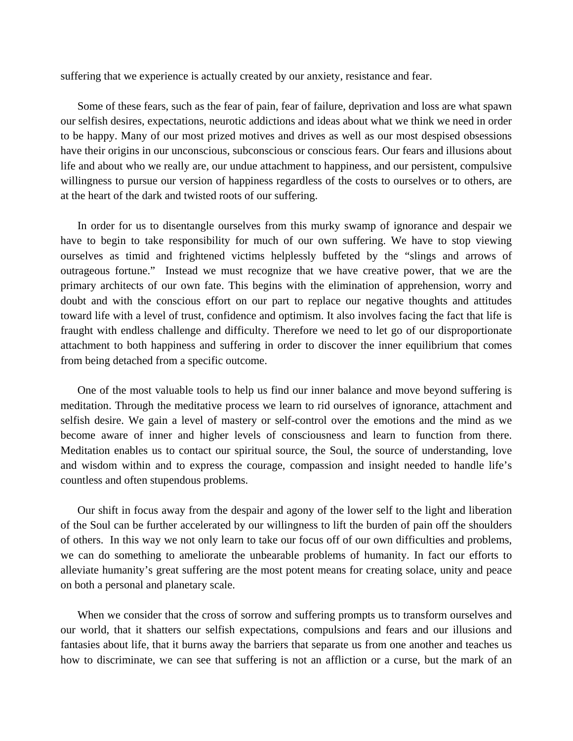suffering that we experience is actually created by our anxiety, resistance and fear.

 Some of these fears, such as the fear of pain, fear of failure, deprivation and loss are what spawn our selfish desires, expectations, neurotic addictions and ideas about what we think we need in order to be happy. Many of our most prized motives and drives as well as our most despised obsessions have their origins in our unconscious, subconscious or conscious fears. Our fears and illusions about life and about who we really are, our undue attachment to happiness, and our persistent, compulsive willingness to pursue our version of happiness regardless of the costs to ourselves or to others, are at the heart of the dark and twisted roots of our suffering.

 In order for us to disentangle ourselves from this murky swamp of ignorance and despair we have to begin to take responsibility for much of our own suffering. We have to stop viewing ourselves as timid and frightened victims helplessly buffeted by the "slings and arrows of outrageous fortune." Instead we must recognize that we have creative power, that we are the primary architects of our own fate. This begins with the elimination of apprehension, worry and doubt and with the conscious effort on our part to replace our negative thoughts and attitudes toward life with a level of trust, confidence and optimism. It also involves facing the fact that life is fraught with endless challenge and difficulty. Therefore we need to let go of our disproportionate attachment to both happiness and suffering in order to discover the inner equilibrium that comes from being detached from a specific outcome.

 One of the most valuable tools to help us find our inner balance and move beyond suffering is meditation. Through the meditative process we learn to rid ourselves of ignorance, attachment and selfish desire. We gain a level of mastery or self-control over the emotions and the mind as we become aware of inner and higher levels of consciousness and learn to function from there. Meditation enables us to contact our spiritual source, the Soul, the source of understanding, love and wisdom within and to express the courage, compassion and insight needed to handle life's countless and often stupendous problems.

 Our shift in focus away from the despair and agony of the lower self to the light and liberation of the Soul can be further accelerated by our willingness to lift the burden of pain off the shoulders of others. In this way we not only learn to take our focus off of our own difficulties and problems, we can do something to ameliorate the unbearable problems of humanity. In fact our efforts to alleviate humanity's great suffering are the most potent means for creating solace, unity and peace on both a personal and planetary scale.

When we consider that the cross of sorrow and suffering prompts us to transform ourselves and our world, that it shatters our selfish expectations, compulsions and fears and our illusions and fantasies about life, that it burns away the barriers that separate us from one another and teaches us how to discriminate, we can see that suffering is not an affliction or a curse, but the mark of an